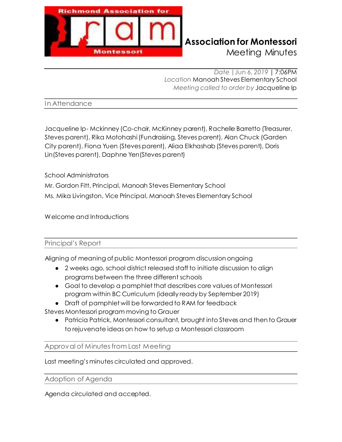

# **Richmond Association for Montessori**

Meeting Minutes

*Date |*Jun 6, *2019* | 7:06PM *Location* Manoah Steves Elementary School *Meeting called to order by* Jacqueline Ip

In Attendance

Jacqueline Ip- Mckinney (Co-chair, McKinney parent), Rachelle Barretto (Treasurer, Steves parent), Rika Motohashi (Fundraising, Steves parent), Alan Chuck (Garden City parent), Fiona Yuen (Steves parent), Aliaa Elkhashab (Steves parent), Doris Lin(Steves parent), Daphne Yen(Steves parent)

School Administrators Mr. Gordon Fitt, Principal, Manoah Steves Elementary School Ms. Mika Livingston, Vice Principal, Manoah Steves Elementary School

Welcome and Introductions

### Principal's Report

Aligning of meaning of public Montessori program discussion ongoing

- 2 weeks ago, school district released staff to initiate discussion to align programs between the three different schools
- ŏ Goal to develop a pamphlet that describes core values of Montessori program within BC Curriculum (ideally ready by September 2019)
- Draft of pamphlet will be forwarded to RAM for feedback

Steves Montessori program moving to Grauer

• Patricia Patrick, Montessori consultant, brought into Steves and then to Grauer to rejuvenate ideas on how to setup a Montessori classroom

Approval of Minutes from Last Meeting

Last meeting's minutes circulated and approved.

Adoption of Agenda

Agenda circulated and accepted.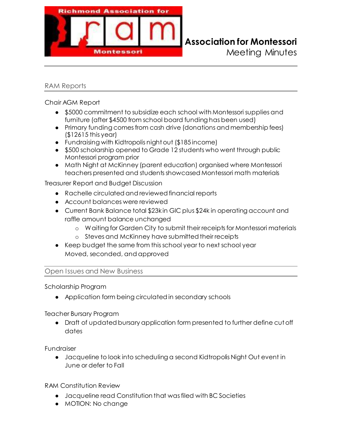

## **Richmond Association for Montessori**

Meeting Minutes

### RAM Reports

Chair AGM Report

- \$5000 commitment to subsidize each school with Montessori supplies and furniture (after \$4500 from school board funding has been used)
- Primary funding comes from cash drive (donations and membership fees) (\$12615 this year)
- Fundraising with Kidtropolis night out (\$185 income)
- \$500 scholarship opened to Grade 12 students who went through public Montessori program prior
- ŏ Math Night at McKinney (parent education) organised where Montessori teachers presented and students showcased Montessori math materials

Treasurer Report and Budget Discussion

- Ɣ Rachelle circulated and reviewed financial reports
- Account balances were reviewed
- Current Bank Balance total \$23kin GIC plus \$24k in operating account and raffle amount balance unchanged
	- o Waiting for Garden City to submit their receipts for Montessori materials
	- o Steves and McKinney have submitted their receipts
- Ɣ Keep budget the same from this school year to next school year Moved, seconded, and approved

### Open Issues and New Business

Scholarship Program

• Application form being circulated in secondary schools

Teacher Bursary Program

• Draft of updated bursary application form presented to further define cut off dates

Fundraiser

**•** Jacqueline to look into scheduling a second Kidtropolis Night Out event in June or defer to Fall

RAM Constitution Review

- **•** Jacqueline read Constitution that was filed with BC Societies
- MOTION: No change